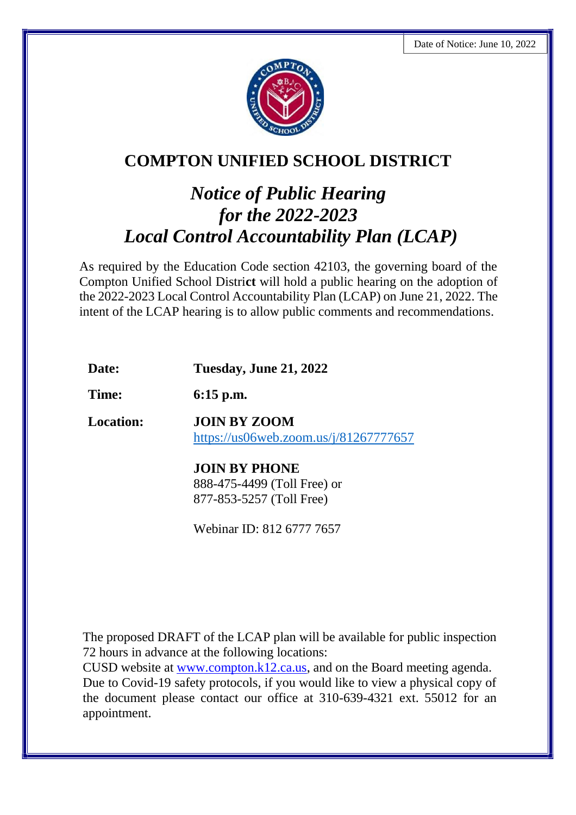

## **COMPTON UNIFIED SCHOOL DISTRICT**

## *Notice of Public Hearing for the 2022-2023 Local Control Accountability Plan (LCAP)*

As required by the Education Code section 42103, the governing board of the Compton Unified School Distri**ct** will hold a public hearing on the adoption of the 2022-2023 Local Control Accountability Plan (LCAP) on June 21, 2022. The intent of the LCAP hearing is to allow public comments and recommendations.

| Date:            | <b>Tuesday, June 21, 2022</b>                                                   |
|------------------|---------------------------------------------------------------------------------|
| Time:            | $6:15$ p.m.                                                                     |
| <b>Location:</b> | JOIN BY ZOOM<br>https://us06web.zoom.us/j/81267777657                           |
|                  | <b>JOIN BY PHONE</b><br>888-475-4499 (Toll Free) or<br>877-853-5257 (Toll Free) |

Webinar ID: 812 6777 7657

The proposed DRAFT of the LCAP plan will be available for public inspection 72 hours in advance at the following locations:

CUSD website at [www.compton.k12.ca.us,](http://www.compton.k12.ca.us/) and on the Board meeting agenda. Due to Covid-19 safety protocols, if you would like to view a physical copy of the document please contact our office at 310-639-4321 ext. 55012 for an appointment.